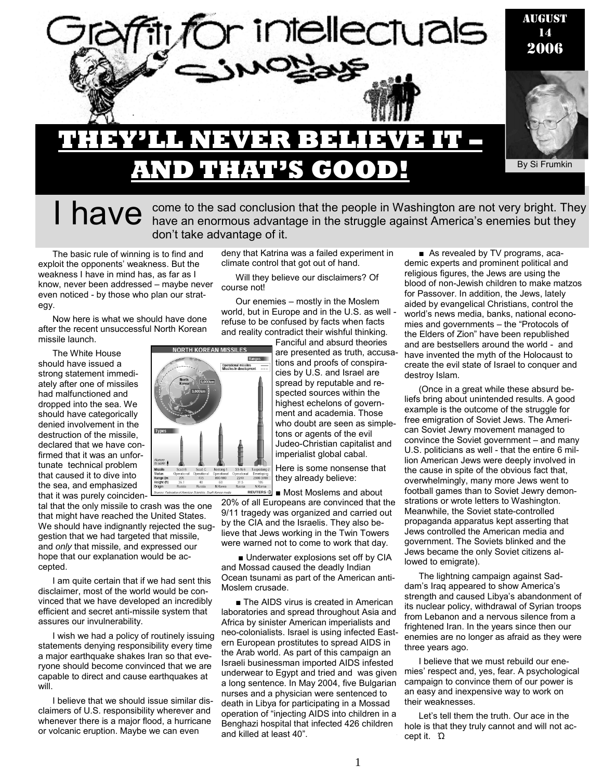

I have an enormous advantage in the struggle against America's enemies but they<br>I have an enormous advantage in the struggle against America's enemies but they don't take advantage of it.

The basic rule of winning is to find and exploit the opponents' weakness. But the weakness I have in mind has, as far as I know, never been addressed – maybe never even noticed - by those who plan our strategy.

Now here is what we should have done after the recent unsuccessful North Korean missile launch.

The White House should have issued a strong statement immediately after one of missiles had malfunctioned and dropped into the sea. We should have categorically denied involvement in the destruction of the missile, declared that we have confirmed that it was an unfortunate technical problem that caused it to dive into the sea, and emphasized that it was purely coinciden-

tal that the only missile to crash was the one that might have reached the United States. We should have indignantly rejected the suggestion that we had targeted that missile, and *only* that missile, and expressed our hope that our explanation would be accepted.

I am quite certain that if we had sent this disclaimer, most of the world would be convinced that we have developed an incredibly efficient and secret anti-missile system that assures our invulnerability.

I wish we had a policy of routinely issuing statements denying responsibility every time a major earthquake shakes Iran so that everyone should become convinced that we are capable to direct and cause earthquakes at will.

I believe that we should issue similar disclaimers of U.S. responsibility wherever and whenever there is a major flood, a hurricane or volcanic eruption. Maybe we can even

deny that Katrina was a failed experiment in climate control that got out of hand.

Will they believe our disclaimers? Of course not!

Our enemies – mostly in the Moslem world, but in Europe and in the U.S. as well refuse to be confused by facts when facts and reality contradict their wishful thinking.

> Fanciful and absurd theories are presented as truth, accusations and proofs of conspiracies by U.S. and Israel are spread by reputable and respected sources within the highest echelons of government and academia. Those who doubt are seen as simpletons or agents of the evil Judeo-Christian capitalist and imperialist global cabal.

Here is some nonsense that they already believe:

■ Most Moslems and about 20% of all Europeans are convinced that the 9/11 tragedy was organized and carried out by the CIA and the Israelis. They also believe that Jews working in the Twin Towers were warned not to come to work that day.

■ Underwater explosions set off by CIA and Mossad caused the deadly Indian Ocean tsunami as part of the American anti-Moslem crusade.

■ The AIDS virus is created in American laboratories and spread throughout Asia and Africa by sinister American imperialists and neo-colonialists. Israel is using infected Eastern European prostitutes to spread AIDS in the Arab world. As part of this campaign an Israeli businessman imported AIDS infested underwear to Egypt and tried and was given a long sentence. In May 2004, five Bulgarian nurses and a physician were sentenced to death in Libya for participating in a Mossad operation of "injecting AIDS into children in a Benghazi hospital that infected 426 children and killed at least 40".

■ As revealed by TV programs, academic experts and prominent political and religious figures, the Jews are using the blood of non-Jewish children to make matzos for Passover. In addition, the Jews, lately aided by evangelical Christians, control the world's news media, banks, national economies and governments – the "Protocols of the Elders of Zion" have been republished and are bestsellers around the world - and have invented the myth of the Holocaust to create the evil state of Israel to conquer and destroy Islam.

(Once in a great while these absurd beliefs bring about unintended results. A good example is the outcome of the struggle for free emigration of Soviet Jews. The American Soviet Jewry movement managed to convince the Soviet government – and many U.S. politicians as well - that the entire 6 million American Jews were deeply involved in the cause in spite of the obvious fact that, overwhelmingly, many more Jews went to football games than to Soviet Jewry demonstrations or wrote letters to Washington. Meanwhile, the Soviet state-controlled propaganda apparatus kept asserting that Jews controlled the American media and government. The Soviets blinked and the Jews became the only Soviet citizens allowed to emigrate).

The lightning campaign against Saddam's Iraq appeared to show America's strength and caused Libya's abandonment of its nuclear policy, withdrawal of Syrian troops from Lebanon and a nervous silence from a frightened Iran. In the years since then our enemies are no longer as afraid as they were three years ago.

I believe that we must rebuild our enemies' respect and, yes, fear. A psychological campaign to convince them of our power is an easy and inexpensive way to work on their weaknesses.

Let's tell them the truth. Our ace in the hole is that they truly cannot and will not accept it. Ώ



1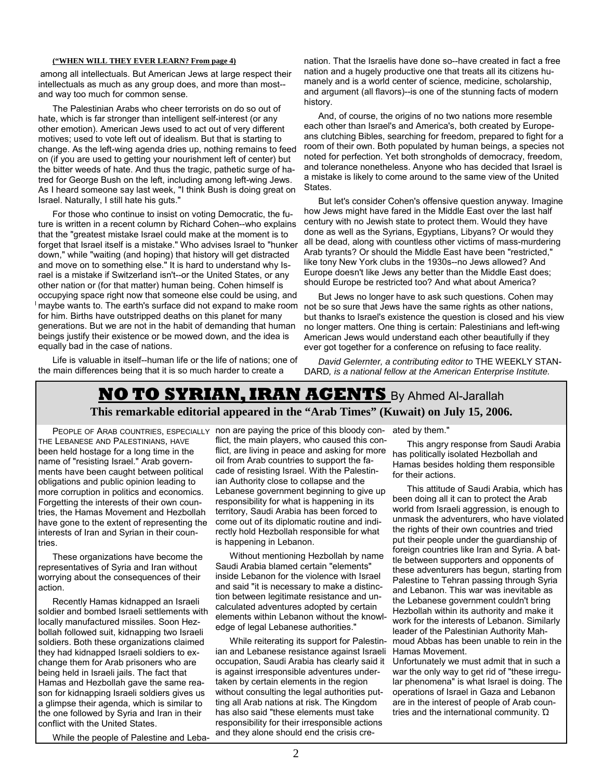#### **("WHEN WILL THEY EVER LEARN? From page 4)**

among all intellectuals. But American Jews at large respect their intellectuals as much as any group does, and more than most- and way too much for common sense.

The Palestinian Arabs who cheer terrorists on do so out of hate, which is far stronger than intelligent self-interest (or any other emotion). American Jews used to act out of very different motives; used to vote left out of idealism. But that is starting to change. As the left-wing agenda dries up, nothing remains to feed on (if you are used to getting your nourishment left of center) but the bitter weeds of hate. And thus the tragic, pathetic surge of hatred for George Bush on the left, including among left-wing Jews. As I heard someone say last week, "I think Bush is doing great on Israel. Naturally, I still hate his guts."

For those who continue to insist on voting Democratic, the future is written in a recent column by Richard Cohen--who explains that the "greatest mistake Israel could make at the moment is to forget that Israel itself is a mistake." Who advises Israel to "hunker down," while "waiting (and hoping) that history will get distracted and move on to something else." It is hard to understand why Israel is a mistake if Switzerland isn't--or the United States, or any other nation or (for that matter) human being. Cohen himself is occupying space right now that someone else could be using, and maybe wants to. The earth's surface did not expand to make room for him. Births have outstripped deaths on this planet for many generations. But we are not in the habit of demanding that human beings justify their existence or be mowed down, and the idea is equally bad in the case of nations.

Life is valuable in itself--human life or the life of nations; one of the main differences being that it is so much harder to create a

nation. That the Israelis have done so--have created in fact a free nation and a hugely productive one that treats all its citizens humanely and is a world center of science, medicine, scholarship, and argument (all flavors)--is one of the stunning facts of modern history.

And, of course, the origins of no two nations more resemble each other than Israel's and America's, both created by Europeans clutching Bibles, searching for freedom, prepared to fight for a room of their own. Both populated by human beings, a species not noted for perfection. Yet both strongholds of democracy, freedom, and tolerance nonetheless. Anyone who has decided that Israel is a mistake is likely to come around to the same view of the United States.

But let's consider Cohen's offensive question anyway. Imagine how Jews might have fared in the Middle East over the last half century with no Jewish state to protect them. Would they have done as well as the Syrians, Egyptians, Libyans? Or would they all be dead, along with countless other victims of mass-murdering Arab tyrants? Or should the Middle East have been "restricted," like tony New York clubs in the 1930s--no Jews allowed? And Europe doesn't like Jews any better than the Middle East does; should Europe be restricted too? And what about America?

But Jews no longer have to ask such questions. Cohen may not be so sure that Jews have the same rights as other nations, but thanks to Israel's existence the question is closed and his view no longer matters. One thing is certain: Palestinians and left-wing American Jews would understand each other beautifully if they ever got together for a conference on refusing to face reality.

*David Gelernter, a contributing editor to* THE WEEKLY STAN-DARD*, is a national fellow at the American Enterprise Institute.*

### **NO TO SYRIAN, IRAN AGENTS** By Ahmed Al-Jarallah **This remarkable editorial appeared in the "Arab Times" (Kuwait) on July 15, 2006.**

THE LEBANESE AND PALESTINIANS, HAVE been held hostage for a long time in the name of "resisting Israel." Arab governments have been caught between political obligations and public opinion leading to more corruption in politics and economics. Forgetting the interests of their own countries, the Hamas Movement and Hezbollah have gone to the extent of representing the interests of Iran and Syrian in their countries.

These organizations have become the representatives of Syria and Iran without worrying about the consequences of their action.

Recently Hamas kidnapped an Israeli soldier and bombed Israeli settlements with locally manufactured missiles. Soon Hezbollah followed suit, kidnapping two Israeli soldiers. Both these organizations claimed they had kidnapped Israeli soldiers to exchange them for Arab prisoners who are being held in Israeli jails. The fact that Hamas and Hezbollah gave the same reason for kidnapping Israeli soldiers gives us a glimpse their agenda, which is similar to the one followed by Syria and Iran in their conflict with the United States.

While the people of Palestine and Leba-

PEOPLE OF ARAB COUNTRIES, ESPECIALLY non are paying the price of this bloody con- ated by them." flict, the main players, who caused this conflict, are living in peace and asking for more oil from Arab countries to support the facade of resisting Israel. With the Palestinian Authority close to collapse and the Lebanese government beginning to give up responsibility for what is happening in its territory, Saudi Arabia has been forced to come out of its diplomatic routine and indirectly hold Hezbollah responsible for what is happening in Lebanon.

> Without mentioning Hezbollah by name Saudi Arabia blamed certain "elements" inside Lebanon for the violence with Israel and said "it is necessary to make a distinction between legitimate resistance and uncalculated adventures adopted by certain elements within Lebanon without the knowledge of legal Lebanese authorities."

> While reiterating its support for Palestinian and Lebanese resistance against Israeli occupation, Saudi Arabia has clearly said it is against irresponsible adventures undertaken by certain elements in the region without consulting the legal authorities putting all Arab nations at risk. The Kingdom has also said "these elements must take responsibility for their irresponsible actions and they alone should end the crisis cre-

This angry response from Saudi Arabia has politically isolated Hezbollah and Hamas besides holding them responsible for their actions.

This attitude of Saudi Arabia, which has been doing all it can to protect the Arab world from Israeli aggression, is enough to unmask the adventurers, who have violated the rights of their own countries and tried put their people under the guardianship of foreign countries like Iran and Syria. A battle between supporters and opponents of these adventurers has begun, starting from Palestine to Tehran passing through Syria and Lebanon. This war was inevitable as the Lebanese government couldn't bring Hezbollah within its authority and make it work for the interests of Lebanon. Similarly leader of the Palestinian Authority Mahmoud Abbas has been unable to rein in the Hamas Movement.

Unfortunately we must admit that in such a war the only way to get rid of "these irregular phenomena" is what Israel is doing. The operations of Israel in Gaza and Lebanon are in the interest of people of Arab countries and the international community. Ώ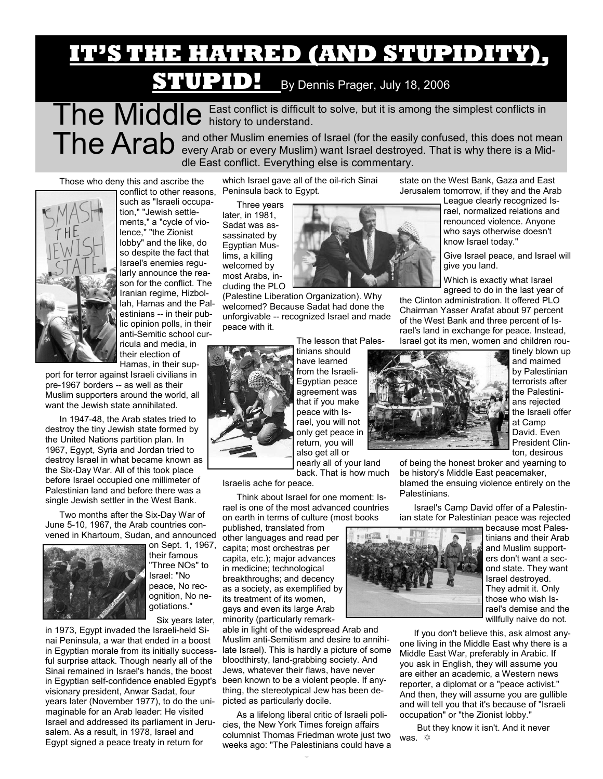# **IT'S THE HATRED (AND STUPIDITY),**

## **STUPID!** By Dennis Prager, July 18, 2006

The Middle East conflict is difficult to solve, but it is among the simplest conflicts in The Arab and other Muslim enemies of Israel (for the easily confused, this does not mean every Arab or every Muslim) want Israel destroyed. That is why there is a Middle East conflict. Everything else is commentary.

Those who deny this and ascribe the



conflict to other reasons, such as "Israeli occupation," "Jewish settlements," a "cycle of violence," "the Zionist lobby" and the like, do so despite the fact that Israel's enemies regularly announce the reason for the conflict. The Iranian regime, Hizbollah, Hamas and the Palestinians -- in their public opinion polls, in their anti-Semitic school curricula and media, in their election of Hamas, in their sup-

port for terror against Israeli civilians in pre-1967 borders -- as well as their Muslim supporters around the world, all want the Jewish state annihilated.

In 1947-48, the Arab states tried to destroy the tiny Jewish state formed by the United Nations partition plan. In 1967, Egypt, Syria and Jordan tried to destroy Israel in what became known as the Six-Day War. All of this took place before Israel occupied one millimeter of Palestinian land and before there was a single Jewish settler in the West Bank.

Two months after the Six-Day War of June 5-10, 1967, the Arab countries convened in Khartoum, Sudan, and announced



on Sept. 1, 1967, their famous "Three NOs" to Israel: "No peace, No recognition, No negotiations."

Six years later,

in 1973, Egypt invaded the Israeli-held Sinai Peninsula, a war that ended in a boost in Egyptian morale from its initially successful surprise attack. Though nearly all of the Sinai remained in Israel's hands, the boost in Egyptian self-confidence enabled Egypt's visionary president, Anwar Sadat, four years later (November 1977), to do the unimaginable for an Arab leader: He visited Israel and addressed its parliament in Jerusalem. As a result, in 1978, Israel and Egypt signed a peace treaty in return for

which Israel gave all of the oil-rich Sinai Peninsula back to Egypt.

Three years later, in 1981, Sadat was assassinated by Egyptian Muslims, a killing welcomed by most Arabs, including the PLO

(Palestine Liberation Organization). Why welcomed? Because Sadat had done the unforgivable -- recognized Israel and made peace with it.



tinians should have learned from the Israeli-Egyptian peace agreement was that if you make peace with Israel, you will not only get peace in return, you will also get all or nearly all of your land

back. That is how much

Israelis ache for peace.

Think about Israel for one moment: Israel is one of the most advanced countries on earth in terms of culture (most books

published, translated from other languages and read per capita; most orchestras per capita, etc.); major advances in medicine; technological breakthroughs; and decency as a society, as exemplified by its treatment of its women, gays and even its large Arab minority (particularly remark-

able in light of the widespread Arab and Muslim anti-Semitism and desire to annihilate Israel). This is hardly a picture of some bloodthirsty, land-grabbing society. And Jews, whatever their flaws, have never been known to be a violent people. If anything, the stereotypical Jew has been depicted as particularly docile.

3 As a lifelong liberal critic of Israeli policies, the New York Times foreign affairs columnist Thomas Friedman wrote just two weeks ago: "The Palestinians could have a



state on the West Bank, Gaza and East Jerusalem tomorrow, if they and the Arab

League clearly recognized Israel, normalized relations and renounced violence. Anyone who says otherwise doesn't know Israel today."

Give Israel peace, and Israel will give you land.

Which is exactly what Israel agreed to do in the last year of

the Clinton administration. It offered PLO Chairman Yasser Arafat about 97 percent of the West Bank and three percent of Israel's land in exchange for peace. Instead, Israel got its men, women and children rou-



tinely blown up and maimed by Palestinian terrorists after the Palestinians rejected the Israeli offer at Camp David. Even President Clinton, desirous

of being the honest broker and yearning to be history's Middle East peacemaker, blamed the ensuing violence entirely on the Palestinians.

Israel's Camp David offer of a Palestinian state for Palestinian peace was rejected



because most Palestinians and their Arab and Muslim supporters don't want a second state. They want Israel destroyed. They admit it. Only those who wish Israel's demise and the willfully naive do not.

If you don't believe this, ask almost anyone living in the Middle East why there is a Middle East War, preferably in Arabic. If you ask in English, they will assume you are either an academic, a Western news reporter, a diplomat or a "peace activist." And then, they will assume you are gullible and will tell you that it's because of "Israeli occupation" or "the Zionist lobby."

 But they know it isn't. And it never was.  $\Leftrightarrow$